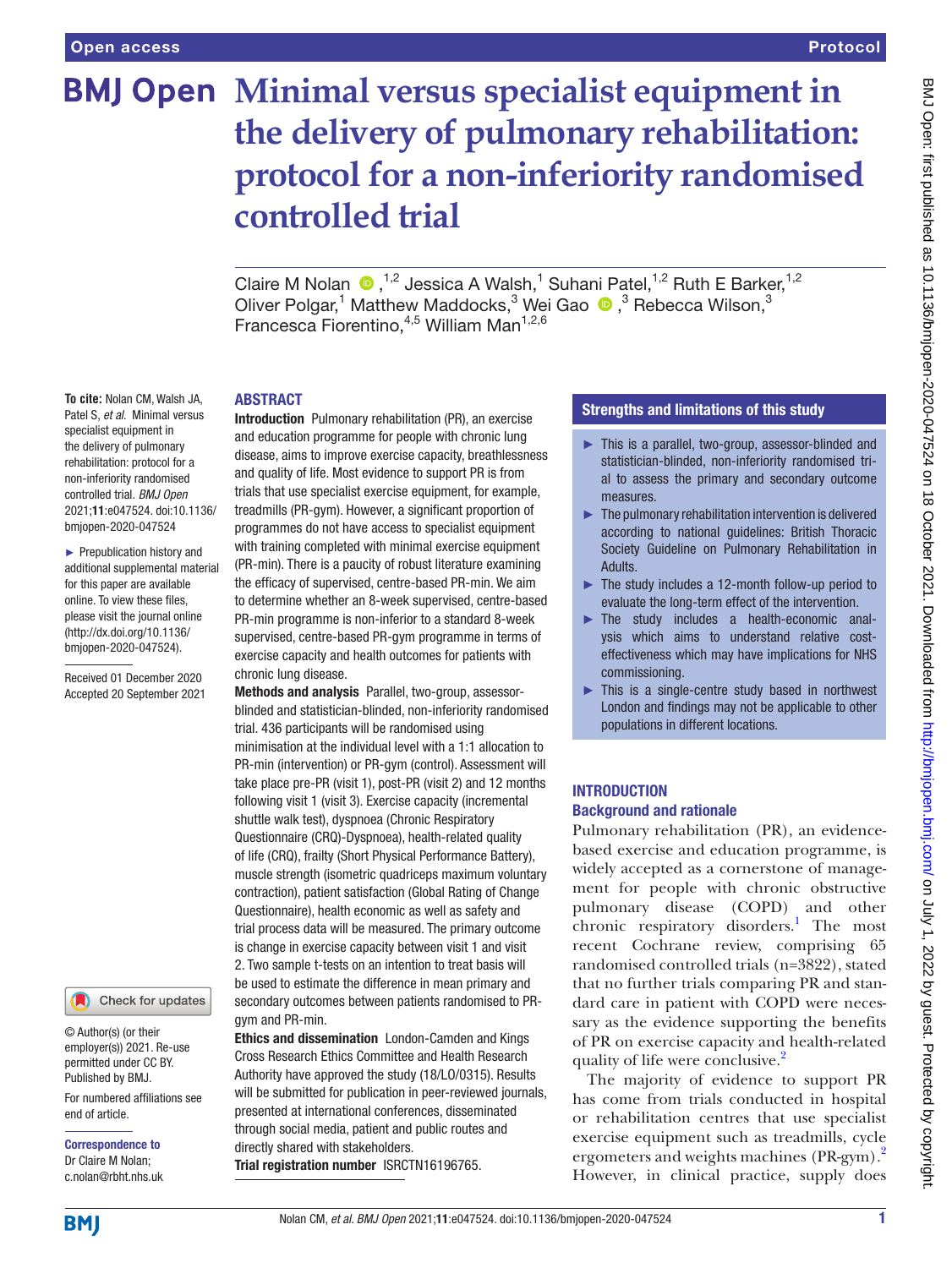# **BMJ Open Minimal versus specialist equipment in the delivery of pulmonary rehabilitation: protocol for a non-inferiority randomised controlled trial**

ClaireM Nolan  $\bigcirc$ ,<sup>1,2</sup> Jessica A Walsh,<sup>1</sup> Suhani Patel,<sup>1,2</sup> Ruth E Barker,<sup>1,2</sup> Oliver Polgar,<sup>1</sup> Matthew Maddocks,<sup>3</sup> Wei Gao <sup>®</sup>,<sup>3</sup> Rebecca Wilson,<sup>3</sup> Francesca Fiorentino, <sup>4,5</sup> William Man<sup>1,2,6</sup>

#### ABSTRACT

**To cite:** Nolan CM, Walsh JA, Patel S, *et al*. Minimal versus specialist equipment in the delivery of pulmonary rehabilitation: protocol for a non-inferiority randomised controlled trial. *BMJ Open* 2021;11:e047524. doi:10.1136/ bmjopen-2020-047524

► Prepublication history and additional supplemental material for this paper are available online. To view these files, please visit the journal online [\(http://dx.doi.org/10.1136/](http://dx.doi.org/10.1136/bmjopen-2020-047524) [bmjopen-2020-047524](http://dx.doi.org/10.1136/bmjopen-2020-047524)).

Received 01 December 2020 Accepted 20 September 2021

# Check for updates

© Author(s) (or their employer(s)) 2021. Re-use permitted under CC BY. Published by BMJ.

For numbered affiliations see end of article.

Correspondence to Dr Claire M Nolan; c.nolan@rbht.nhs.uk

Introduction Pulmonary rehabilitation (PR), an exercise and education programme for people with chronic lung disease, aims to improve exercise capacity, breathlessness and quality of life. Most evidence to support PR is from trials that use specialist exercise equipment, for example, treadmills (PR-gym). However, a significant proportion of programmes do not have access to specialist equipment with training completed with minimal exercise equipment (PR-min). There is a paucity of robust literature examining the efficacy of supervised, centre-based PR-min. We aim to determine whether an 8-week supervised, centre-based PR-min programme is non-inferior to a standard 8-week supervised, centre-based PR-gym programme in terms of exercise capacity and health outcomes for patients with chronic lung disease.

Methods and analysis Parallel, two-group, assessorblinded and statistician-blinded, non-inferiority randomised trial. 436 participants will be randomised using minimisation at the individual level with a 1:1 allocation to PR-min (intervention) or PR-gym (control). Assessment will take place pre-PR (visit 1), post-PR (visit 2) and 12 months following visit 1 (visit 3). Exercise capacity (incremental shuttle walk test), dyspnoea (Chronic Respiratory Questionnaire (CRQ)-Dyspnoea), health-related quality of life (CRQ), frailty (Short Physical Performance Battery), muscle strength (isometric quadriceps maximum voluntary contraction), patient satisfaction (Global Rating of Change Questionnaire), health economic as well as safety and trial process data will be measured. The primary outcome is change in exercise capacity between visit 1 and visit 2. Two sample t-tests on an intention to treat basis will be used to estimate the difference in mean primary and secondary outcomes between patients randomised to PRgym and PR-min.

Ethics and dissemination London-Camden and Kings Cross Research Ethics Committee and Health Research Authority have approved the study (18/LO/0315). Results will be submitted for publication in peer-reviewed journals, presented at international conferences, disseminated through social media, patient and public routes and directly shared with stakeholders. Trial registration number <ISRCTN16196765>.

#### Strengths and limitations of this study

- ► This is a parallel, two-group, assessor-blinded and statistician-blinded, non-inferiority randomised trial to assess the primary and secondary outcome measures.
- $\blacktriangleright$  The pulmonary rehabilitation intervention is delivered according to national guidelines: British Thoracic Society Guideline on Pulmonary Rehabilitation in Adults.
- $\blacktriangleright$  The study includes a 12-month follow-up period to evaluate the long-term effect of the intervention.
- ► The study includes a health-economic analysis which aims to understand relative costeffectiveness which may have implications for NHS commissioning.
- ► This is a single-centre study based in northwest London and findings may not be applicable to other populations in different locations.

#### INTRODUCTION Background and rationale

Pulmonary rehabilitation (PR), an evidencebased exercise and education programme, is widely accepted as a cornerstone of management for people with chronic obstructive pulmonary disease (COPD) and other chronic respiratory disorders.<sup>1</sup> The most recent Cochrane review, comprising 65 randomised controlled trials (n=3822), stated that no further trials comparing PR and standard care in patient with COPD were necessary as the evidence supporting the benefits of PR on exercise capacity and health-related quality of life were conclusive.<sup>[2](#page-7-1)</sup>

The majority of evidence to support PR has come from trials conducted in hospital or rehabilitation centres that use specialist exercise equipment such as treadmills, cycle ergometers and weights machines (PR-gym).<sup>2</sup> However, in clinical practice, supply does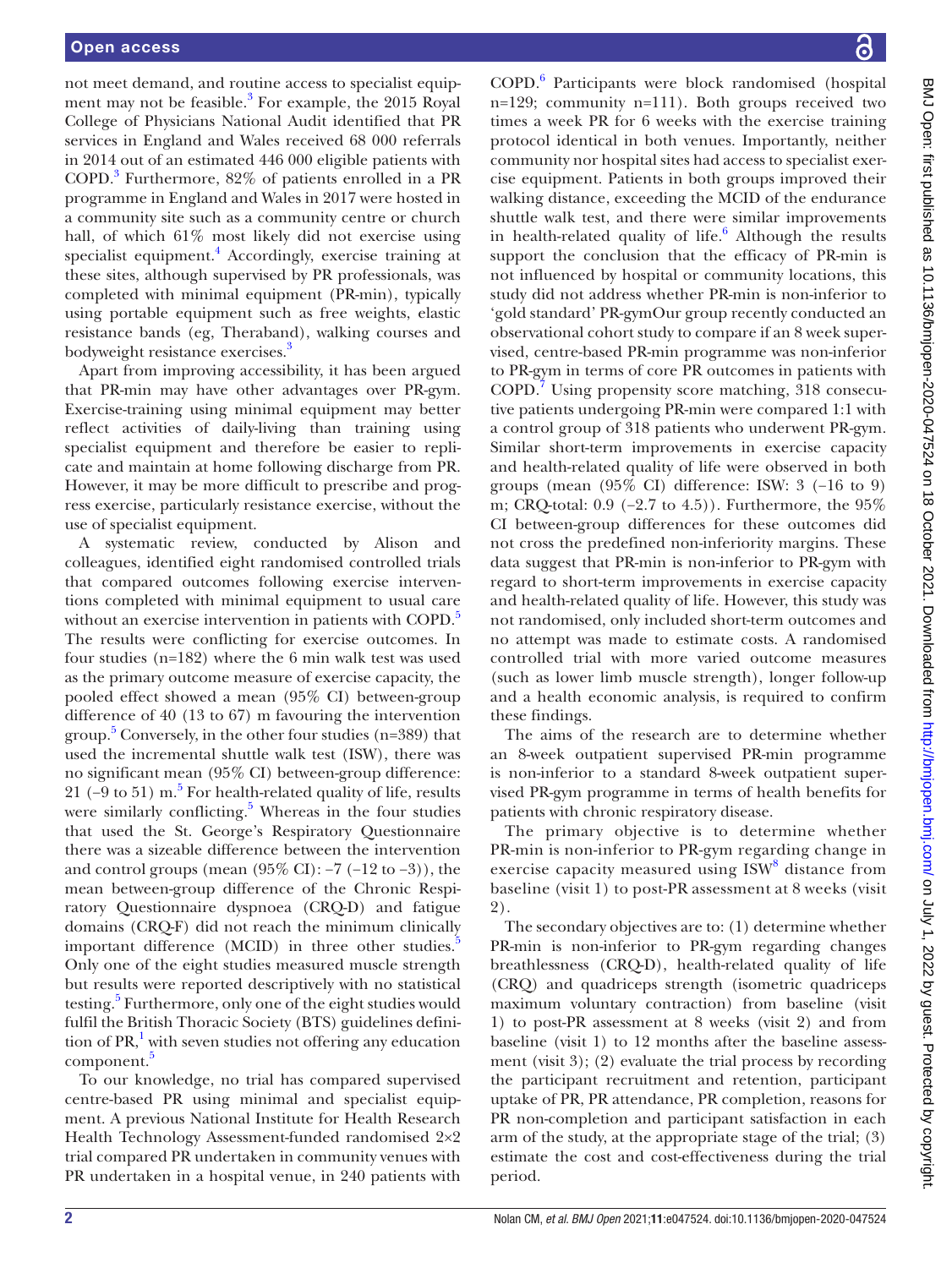not meet demand, and routine access to specialist equip-ment may not be feasible.<sup>[3](#page-7-2)</sup> For example, the 2015 Royal College of Physicians National Audit identified that PR services in England and Wales received 68 000 referrals in 2014 out of an estimated 446 000 eligible patients with COPD[.3](#page-7-2) Furthermore, 82% of patients enrolled in a PR programme in England and Wales in 2017 were hosted in a community site such as a community centre or church hall, of which 61% most likely did not exercise using specialist equipment.<sup>4</sup> Accordingly, exercise training at these sites, although supervised by PR professionals, was completed with minimal equipment (PR-min), typically using portable equipment such as free weights, elastic resistance bands (eg, Theraband), walking courses and bodyweight resistance exercises.<sup>3</sup>

Apart from improving accessibility, it has been argued that PR-min may have other advantages over PR-gym. Exercise-training using minimal equipment may better reflect activities of daily-living than training using specialist equipment and therefore be easier to replicate and maintain at home following discharge from PR. However, it may be more difficult to prescribe and progress exercise, particularly resistance exercise, without the use of specialist equipment.

A systematic review, conducted by Alison and colleagues, identified eight randomised controlled trials that compared outcomes following exercise interventions completed with minimal equipment to usual care without an exercise intervention in patients with COPD.<sup>[5](#page-7-4)</sup> The results were conflicting for exercise outcomes. In four studies (n=182) where the 6 min walk test was used as the primary outcome measure of exercise capacity, the pooled effect showed a mean (95% CI) between-group difference of 40 (13 to 67) m favouring the intervention group. [5](#page-7-4) Conversely, in the other four studies (n=389) that used the incremental shuttle walk test (ISW), there was no significant mean (95% CI) between-group difference: 21 ( $-9$  to [5](#page-7-4)1) m.<sup>5</sup> For health-related quality of life, results were similarly conflicting.<sup>5</sup> Whereas in the four studies that used the St. George's Respiratory Questionnaire there was a sizeable difference between the intervention and control groups (mean  $(95\% \text{ CI}): -7 (-12 \text{ to } -3)$ ), the mean between-group difference of the Chronic Respiratory Questionnaire dyspnoea (CRQ-D) and fatigue domains (CRQ-F) did not reach the minimum clinically important difference (MCID) in three other studies.<sup>[5](#page-7-4)</sup> Only one of the eight studies measured muscle strength but results were reported descriptively with no statistical testing.<sup>[5](#page-7-4)</sup> Furthermore, only one of the eight studies would fulfil the British Thoracic Society (BTS) guidelines definition of  $PR$ ,<sup>[1](#page-7-0)</sup> with seven studies not offering any education component.<sup>[5](#page-7-4)</sup>

To our knowledge, no trial has compared supervised centre-based PR using minimal and specialist equipment. A previous National Institute for Health Research Health Technology Assessment-funded randomised 2×2 trial compared PR undertaken in community venues with PR undertaken in a hospital venue, in 240 patients with

COPD.[6](#page-7-5) Participants were block randomised (hospital n=129; community n=111). Both groups received two times a week PR for 6 weeks with the exercise training protocol identical in both venues. Importantly, neither community nor hospital sites had access to specialist exercise equipment. Patients in both groups improved their walking distance, exceeding the MCID of the endurance shuttle walk test, and there were similar improvements in health-related quality of life. $6$  Although the results support the conclusion that the efficacy of PR-min is not influenced by hospital or community locations, this study did not address whether PR-min is non-inferior to 'gold standard' PR-gymOur group recently conducted an observational cohort study to compare if an 8 week supervised, centre-based PR-min programme was non-inferior to PR-gym in terms of core PR outcomes in patients with COPD.[7](#page-7-6) Using propensity score matching, 318 consecutive patients undergoing PR-min were compared 1:1 with a control group of 318 patients who underwent PR-gym. Similar short-term improvements in exercise capacity and health-related quality of life were observed in both groups (mean (95% CI) difference: ISW: 3 (−16 to 9) m; CRQ-total: 0.9 (−2.7 to 4.5)). Furthermore, the 95% CI between-group differences for these outcomes did not cross the predefined non-inferiority margins. These data suggest that PR-min is non-inferior to PR-gym with regard to short-term improvements in exercise capacity and health-related quality of life. However, this study was not randomised, only included short-term outcomes and no attempt was made to estimate costs. A randomised controlled trial with more varied outcome measures (such as lower limb muscle strength), longer follow-up and a health economic analysis, is required to confirm these findings.

The aims of the research are to determine whether an 8-week outpatient supervised PR-min programme is non-inferior to a standard 8-week outpatient supervised PR-gym programme in terms of health benefits for patients with chronic respiratory disease.

The primary objective is to determine whether PR-min is non-inferior to PR-gym regarding change in exercise capacity measured using ISW<sup>[8](#page-7-7)</sup> distance from baseline (visit 1) to post-PR assessment at 8 weeks (visit 2).

The secondary objectives are to: (1) determine whether PR-min is non-inferior to PR-gym regarding changes breathlessness (CRQ-D), health-related quality of life (CRQ) and quadriceps strength (isometric quadriceps maximum voluntary contraction) from baseline (visit 1) to post-PR assessment at 8 weeks (visit 2) and from baseline (visit 1) to 12 months after the baseline assessment (visit 3); (2) evaluate the trial process by recording the participant recruitment and retention, participant uptake of PR, PR attendance, PR completion, reasons for PR non-completion and participant satisfaction in each arm of the study, at the appropriate stage of the trial; (3) estimate the cost and cost-effectiveness during the trial period.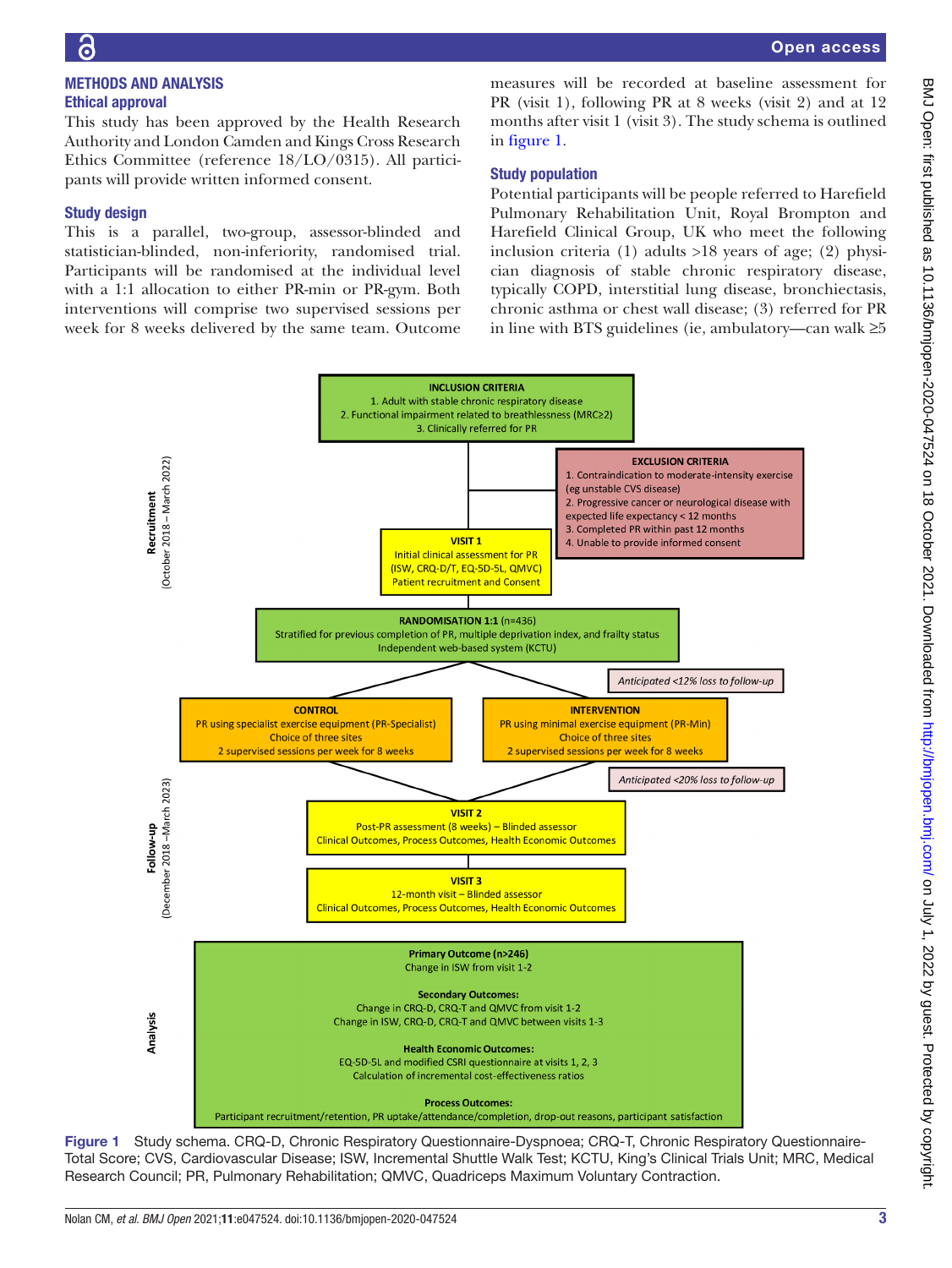# METHODS AND ANALYSIS Ethical approval

This study has been approved by the Health Research Authority and London Camden and Kings Cross Research Ethics Committee (reference 18/LO/0315). All participants will provide written informed consent.

### Study design

This is a parallel, two-group, assessor-blinded and statistician-blinded, non-inferiority, randomised trial. Participants will be randomised at the individual level with a 1:1 allocation to either PR-min or PR-gym. Both interventions will comprise two supervised sessions per week for 8 weeks delivered by the same team. Outcome

measures will be recorded at baseline assessment for PR (visit 1), following PR at 8 weeks (visit 2) and at 12 months after visit 1 (visit 3). The study schema is outlined in [figure](#page-2-0) 1.

# Study population

Potential participants will be people referred to Harefield Pulmonary Rehabilitation Unit, Royal Brompton and Harefield Clinical Group, UK who meet the following inclusion criteria (1) adults >18 years of age; (2) physician diagnosis of stable chronic respiratory disease, typically COPD, interstitial lung disease, bronchiectasis, chronic asthma or chest wall disease; (3) referred for PR in line with BTS guidelines (ie, ambulatory—can walk ≥5



<span id="page-2-0"></span>Figure 1 Study schema. CRQ-D, Chronic Respiratory Questionnaire-Dyspnoea; CRQ-T, Chronic Respiratory Questionnaire-Total Score; CVS, Cardiovascular Disease; ISW, Incremental Shuttle Walk Test; KCTU, King's Clinical Trials Unit; MRC, Medical Research Council; PR, Pulmonary Rehabilitation; QMVC, Quadriceps Maximum Voluntary Contraction.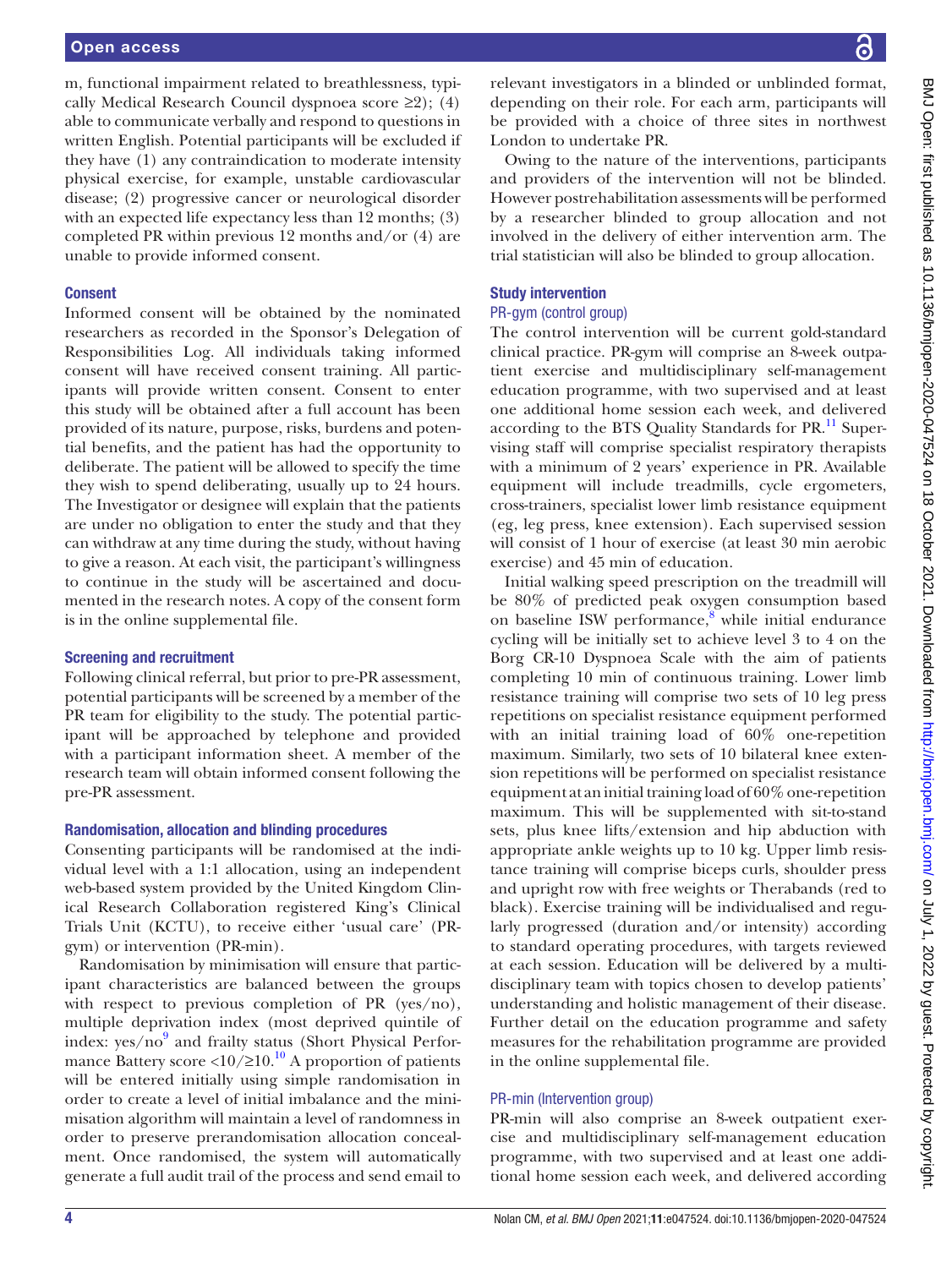m, functional impairment related to breathlessness, typically Medical Research Council dyspnoea score  $\geq 2$ ); (4) able to communicate verbally and respond to questions in written English. Potential participants will be excluded if they have (1) any contraindication to moderate intensity physical exercise, for example, unstable cardiovascular disease; (2) progressive cancer or neurological disorder with an expected life expectancy less than 12 months; (3) completed PR within previous 12 months and/or (4) are unable to provide informed consent.

#### Consent

Informed consent will be obtained by the nominated researchers as recorded in the Sponsor's Delegation of Responsibilities Log. All individuals taking informed consent will have received consent training. All participants will provide written consent. Consent to enter this study will be obtained after a full account has been provided of its nature, purpose, risks, burdens and potential benefits, and the patient has had the opportunity to deliberate. The patient will be allowed to specify the time they wish to spend deliberating, usually up to 24 hours. The Investigator or designee will explain that the patients are under no obligation to enter the study and that they can withdraw at any time during the study, without having to give a reason. At each visit, the participant's willingness to continue in the study will be ascertained and documented in the research notes. A copy of the consent form is in the [online supplemental file](https://dx.doi.org/10.1136/bmjopen-2020-047524).

#### Screening and recruitment

Following clinical referral, but prior to pre-PR assessment, potential participants will be screened by a member of the PR team for eligibility to the study. The potential participant will be approached by telephone and provided with a participant information sheet. A member of the research team will obtain informed consent following the pre-PR assessment.

#### Randomisation, allocation and blinding procedures

Consenting participants will be randomised at the individual level with a 1:1 allocation, using an independent web-based system provided by the United Kingdom Clinical Research Collaboration registered King's Clinical Trials Unit (KCTU), to receive either 'usual care' (PRgym) or intervention (PR-min).

Randomisation by minimisation will ensure that participant characteristics are balanced between the groups with respect to previous completion of PR (yes/no), multiple deprivation index (most deprived quintile of index: yes/no<sup>9</sup> and frailty status (Short Physical Performance Battery score <10/≥10.<sup>10</sup> A proportion of patients will be entered initially using simple randomisation in order to create a level of initial imbalance and the minimisation algorithm will maintain a level of randomness in order to preserve prerandomisation allocation concealment. Once randomised, the system will automatically generate a full audit trail of the process and send email to

relevant investigators in a blinded or unblinded format, depending on their role. For each arm, participants will be provided with a choice of three sites in northwest London to undertake PR.

Owing to the nature of the interventions, participants and providers of the intervention will not be blinded. However postrehabilitation assessments will be performed by a researcher blinded to group allocation and not involved in the delivery of either intervention arm. The trial statistician will also be blinded to group allocation.

#### Study intervention

#### PR-gym (control group)

The control intervention will be current gold-standard clinical practice. PR-gym will comprise an 8-week outpatient exercise and multidisciplinary self-management education programme, with two supervised and at least one additional home session each week, and delivered according to the BTS Quality Standards for PR.<sup>11</sup> Supervising staff will comprise specialist respiratory therapists with a minimum of 2 years' experience in PR. Available equipment will include treadmills, cycle ergometers, cross-trainers, specialist lower limb resistance equipment (eg, leg press, knee extension). Each supervised session will consist of 1 hour of exercise (at least 30 min aerobic exercise) and 45 min of education.

Initial walking speed prescription on the treadmill will be 80% of predicted peak oxygen consumption based on baseline ISW performance,<sup>[8](#page-7-7)</sup> while initial endurance cycling will be initially set to achieve level 3 to 4 on the Borg CR-10 Dyspnoea Scale with the aim of patients completing 10 min of continuous training. Lower limb resistance training will comprise two sets of 10 leg press repetitions on specialist resistance equipment performed with an initial training load of 60% one-repetition maximum. Similarly, two sets of 10 bilateral knee extension repetitions will be performed on specialist resistance equipment at an initial training load of 60% one-repetition maximum. This will be supplemented with sit-to-stand sets, plus knee lifts/extension and hip abduction with appropriate ankle weights up to 10 kg. Upper limb resistance training will comprise biceps curls, shoulder press and upright row with free weights or Therabands (red to black). Exercise training will be individualised and regularly progressed (duration and/or intensity) according to standard operating procedures, with targets reviewed at each session. Education will be delivered by a multidisciplinary team with topics chosen to develop patients' understanding and holistic management of their disease. Further detail on the education programme and safety measures for the rehabilitation programme are provided in the [online supplemental file](https://dx.doi.org/10.1136/bmjopen-2020-047524).

#### PR-min (Intervention group)

PR-min will also comprise an 8-week outpatient exercise and multidisciplinary self-management education programme, with two supervised and at least one additional home session each week, and delivered according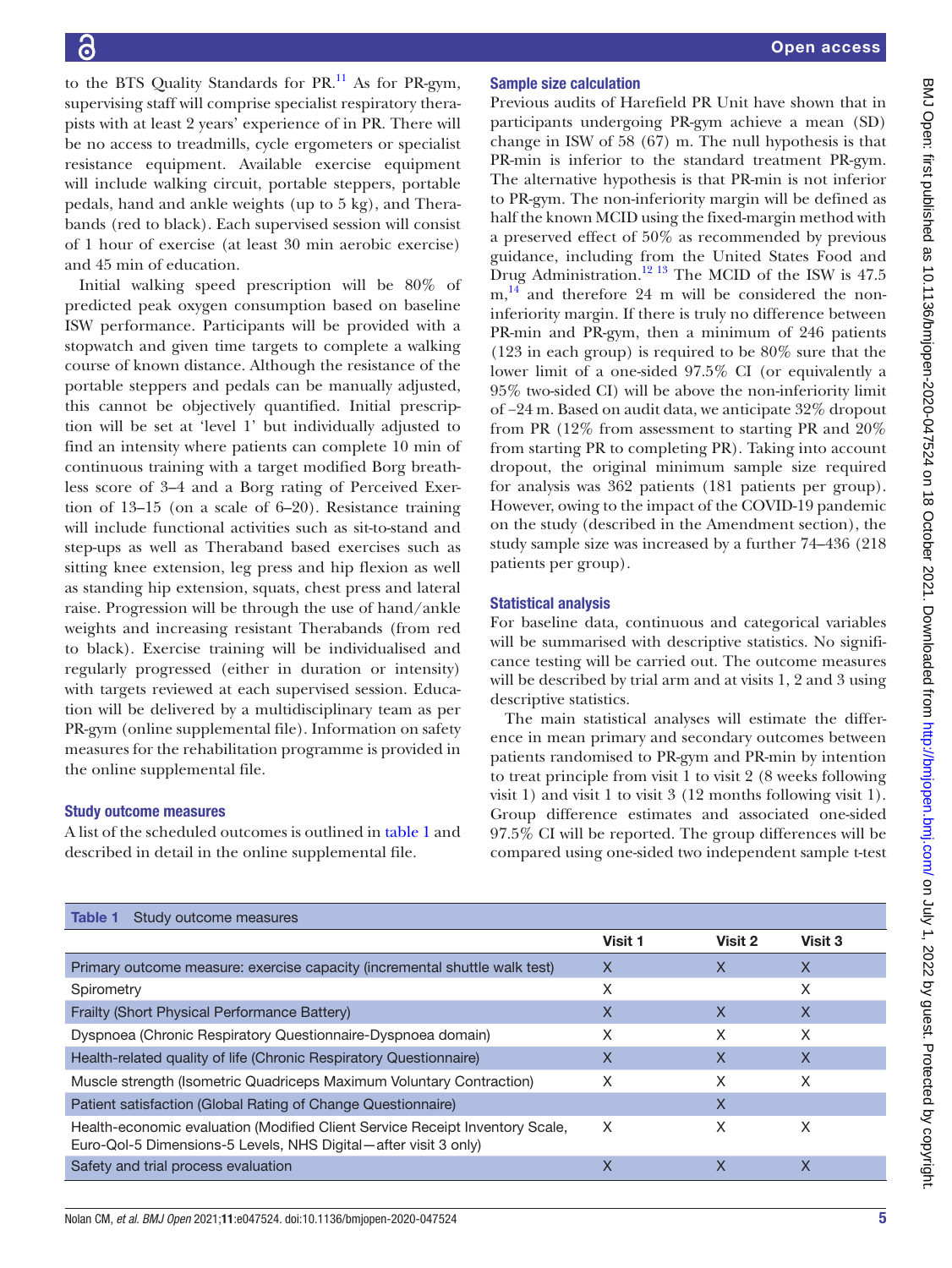to the BTS Quality Standards for  $PR$ <sup>[11](#page-7-10)</sup> As for PR-gym, supervising staff will comprise specialist respiratory therapists with at least 2 years' experience of in PR. There will be no access to treadmills, cycle ergometers or specialist resistance equipment. Available exercise equipment will include walking circuit, portable steppers, portable pedals, hand and ankle weights (up to 5 kg), and Therabands (red to black). Each supervised session will consist of 1 hour of exercise (at least 30 min aerobic exercise) and 45 min of education.

Initial walking speed prescription will be 80% of predicted peak oxygen consumption based on baseline ISW performance. Participants will be provided with a stopwatch and given time targets to complete a walking course of known distance. Although the resistance of the portable steppers and pedals can be manually adjusted, this cannot be objectively quantified. Initial prescription will be set at 'level 1' but individually adjusted to find an intensity where patients can complete 10 min of continuous training with a target modified Borg breathless score of 3–4 and a Borg rating of Perceived Exertion of 13–15 (on a scale of 6–20). Resistance training will include functional activities such as sit-to-stand and step-ups as well as Theraband based exercises such as sitting knee extension, leg press and hip flexion as well as standing hip extension, squats, chest press and lateral raise. Progression will be through the use of hand/ankle weights and increasing resistant Therabands (from red to black). Exercise training will be individualised and regularly progressed (either in duration or intensity) with targets reviewed at each supervised session. Education will be delivered by a multidisciplinary team as per PR-gym ([online supplemental file\)](https://dx.doi.org/10.1136/bmjopen-2020-047524). Information on safety measures for the rehabilitation programme is provided in the [online supplemental file.](https://dx.doi.org/10.1136/bmjopen-2020-047524)

# Study outcome measures

A list of the scheduled outcomes is outlined in [table](#page-4-0) 1 and described in detail in the [online supplemental file](https://dx.doi.org/10.1136/bmjopen-2020-047524).

# Sample size calculation

Previous audits of Harefield PR Unit have shown that in participants undergoing PR-gym achieve a mean (SD) change in ISW of 58 (67) m. The null hypothesis is that PR-min is inferior to the standard treatment PR-gym. The alternative hypothesis is that PR-min is not inferior to PR-gym. The non-inferiority margin will be defined as half the known MCID using the fixed-margin method with a preserved effect of 50% as recommended by previous guidance, including from the United States Food and Drug Administration.<sup>12 13</sup> The MCID of the ISW is  $47.5$ m,<sup>14</sup> and therefore 24 m will be considered the noninferiority margin. If there is truly no difference between PR-min and PR-gym, then a minimum of 246 patients (123 in each group) is required to be 80% sure that the lower limit of a one-sided 97.5% CI (or equivalently a 95% two-sided CI) will be above the non-inferiority limit of −24 m. Based on audit data, we anticipate 32% dropout from PR (12% from assessment to starting PR and 20% from starting PR to completing PR). Taking into account dropout, the original minimum sample size required for analysis was 362 patients (181 patients per group). However, owing to the impact of the COVID-19 pandemic on the study (described in the Amendment section), the study sample size was increased by a further 74–436 (218 patients per group).

#### Statistical analysis

For baseline data, continuous and categorical variables will be summarised with descriptive statistics. No significance testing will be carried out. The outcome measures will be described by trial arm and at visits 1, 2 and 3 using descriptive statistics.

The main statistical analyses will estimate the difference in mean primary and secondary outcomes between patients randomised to PR-gym and PR-min by intention to treat principle from visit 1 to visit 2 (8 weeks following visit 1) and visit 1 to visit 3 (12 months following visit 1). Group difference estimates and associated one-sided 97.5% CI will be reported. The group differences will be compared using one-sided two independent sample t-test

<span id="page-4-0"></span>

| Table 1<br>Study outcome measures                                                                                                               |                |         |         |
|-------------------------------------------------------------------------------------------------------------------------------------------------|----------------|---------|---------|
|                                                                                                                                                 | <b>Visit 1</b> | Visit 2 | Visit 3 |
| Primary outcome measure: exercise capacity (incremental shuttle walk test)                                                                      | X              | X       | X       |
| Spirometry                                                                                                                                      | X              |         | Χ       |
| Frailty (Short Physical Performance Battery)                                                                                                    | X              | X       | X       |
| Dyspnoea (Chronic Respiratory Questionnaire-Dyspnoea domain)                                                                                    | X              | X       | X       |
| Health-related quality of life (Chronic Respiratory Questionnaire)                                                                              | X              | X       | X       |
| Muscle strength (Isometric Quadriceps Maximum Voluntary Contraction)                                                                            | X              | X       | X       |
| Patient satisfaction (Global Rating of Change Questionnaire)                                                                                    |                | X       |         |
| Health-economic evaluation (Modified Client Service Receipt Inventory Scale,<br>Euro-Qol-5 Dimensions-5 Levels, NHS Digital-after visit 3 only) | X              | X       | X       |
| Safety and trial process evaluation                                                                                                             | Χ              | Χ       | Χ       |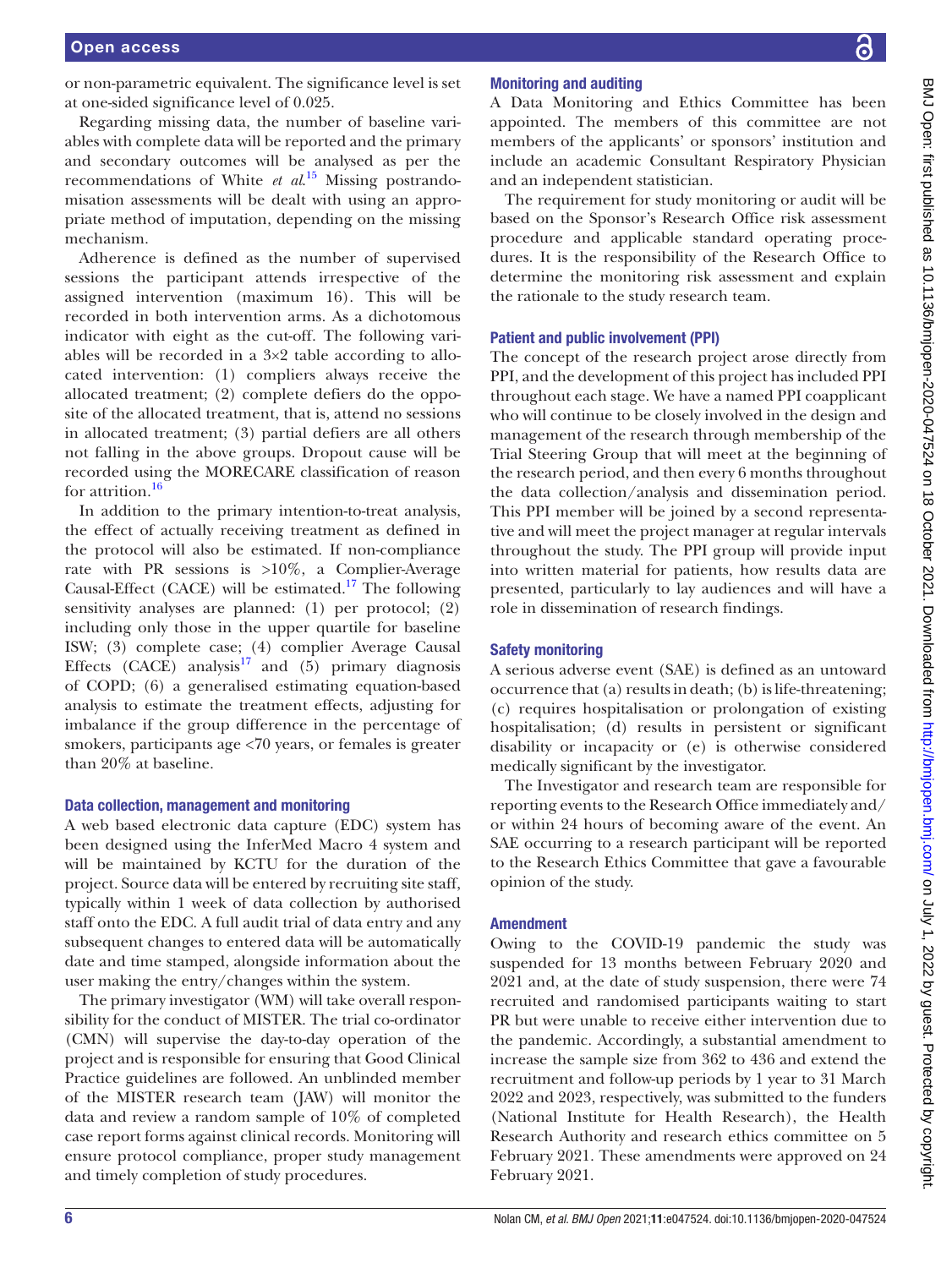or non-parametric equivalent. The significance level is set at one-sided significance level of 0.025.

Regarding missing data, the number of baseline variables with complete data will be reported and the primary and secondary outcomes will be analysed as per the recommendations of White *et al*. [15](#page-7-13) Missing postrandomisation assessments will be dealt with using an appropriate method of imputation, depending on the missing mechanism.

Adherence is defined as the number of supervised sessions the participant attends irrespective of the assigned intervention (maximum 16). This will be recorded in both intervention arms. As a dichotomous indicator with eight as the cut-off. The following variables will be recorded in a 3×2 table according to allocated intervention: (1) compliers always receive the allocated treatment; (2) complete defiers do the opposite of the allocated treatment, that is, attend no sessions in allocated treatment; (3) partial defiers are all others not falling in the above groups. Dropout cause will be recorded using the MORECARE classification of reason for attrition.<sup>[16](#page-7-14)</sup>

In addition to the primary intention-to-treat analysis, the effect of actually receiving treatment as defined in the protocol will also be estimated. If non-compliance rate with PR sessions is  $>10\%$ , a Complier-Average Causal-Effect (CACE) will be estimated.<sup>17</sup> The following sensitivity analyses are planned: (1) per protocol; (2) including only those in the upper quartile for baseline ISW; (3) complete case; (4) complier Average Causal Effects (CACE) analysis<sup>[17](#page-7-15)</sup> and (5) primary diagnosis of COPD; (6) a generalised estimating equation-based analysis to estimate the treatment effects, adjusting for imbalance if the group difference in the percentage of smokers, participants age <70 years, or females is greater than 20% at baseline.

#### Data collection, management and monitoring

A web based electronic data capture (EDC) system has been designed using the InferMed Macro 4 system and will be maintained by KCTU for the duration of the project. Source data will be entered by recruiting site staff, typically within 1 week of data collection by authorised staff onto the EDC. A full audit trial of data entry and any subsequent changes to entered data will be automatically date and time stamped, alongside information about the user making the entry/changes within the system.

The primary investigator (WM) will take overall responsibility for the conduct of MISTER. The trial co-ordinator (CMN) will supervise the day-to-day operation of the project and is responsible for ensuring that Good Clinical Practice guidelines are followed. An unblinded member of the MISTER research team (JAW) will monitor the data and review a random sample of 10% of completed case report forms against clinical records. Monitoring will ensure protocol compliance, proper study management and timely completion of study procedures.

# BMJ Open: first published as 10.1136/bmjopen-2020-047524 on 18 October 2021. Downloaded from http://bmjopen.bmj.com/ on July 1, 2022 by guest. Protected by copyright BMJ Open: first published as 10.1136/bmjopen-2020-047524 on 18 October 2021. Downloaded from <http://bmjopen.bmj.com/> on July 1, 2022 by guest. Protected by copyright.

# Monitoring and auditing

A Data Monitoring and Ethics Committee has been appointed. The members of this committee are not members of the applicants' or sponsors' institution and include an academic Consultant Respiratory Physician and an independent statistician.

The requirement for study monitoring or audit will be based on the Sponsor's Research Office risk assessment procedure and applicable standard operating procedures. It is the responsibility of the Research Office to determine the monitoring risk assessment and explain the rationale to the study research team.

# Patient and public involvement (PPI)

The concept of the research project arose directly from PPI, and the development of this project has included PPI throughout each stage. We have a named PPI coapplicant who will continue to be closely involved in the design and management of the research through membership of the Trial Steering Group that will meet at the beginning of the research period, and then every 6 months throughout the data collection/analysis and dissemination period. This PPI member will be joined by a second representative and will meet the project manager at regular intervals throughout the study. The PPI group will provide input into written material for patients, how results data are presented, particularly to lay audiences and will have a role in dissemination of research findings.

# Safety monitoring

A serious adverse event (SAE) is defined as an untoward occurrence that (a) results in death; (b) is life-threatening; (c) requires hospitalisation or prolongation of existing hospitalisation; (d) results in persistent or significant disability or incapacity or (e) is otherwise considered medically significant by the investigator.

The Investigator and research team are responsible for reporting events to the Research Office immediately and/ or within 24 hours of becoming aware of the event. An SAE occurring to a research participant will be reported to the Research Ethics Committee that gave a favourable opinion of the study.

# Amendment

Owing to the COVID-19 pandemic the study was suspended for 13 months between February 2020 and 2021 and, at the date of study suspension, there were 74 recruited and randomised participants waiting to start PR but were unable to receive either intervention due to the pandemic. Accordingly, a substantial amendment to increase the sample size from 362 to 436 and extend the recruitment and follow-up periods by 1 year to 31 March 2022 and 2023, respectively, was submitted to the funders (National Institute for Health Research), the Health Research Authority and research ethics committee on 5 February 2021. These amendments were approved on 24 February 2021.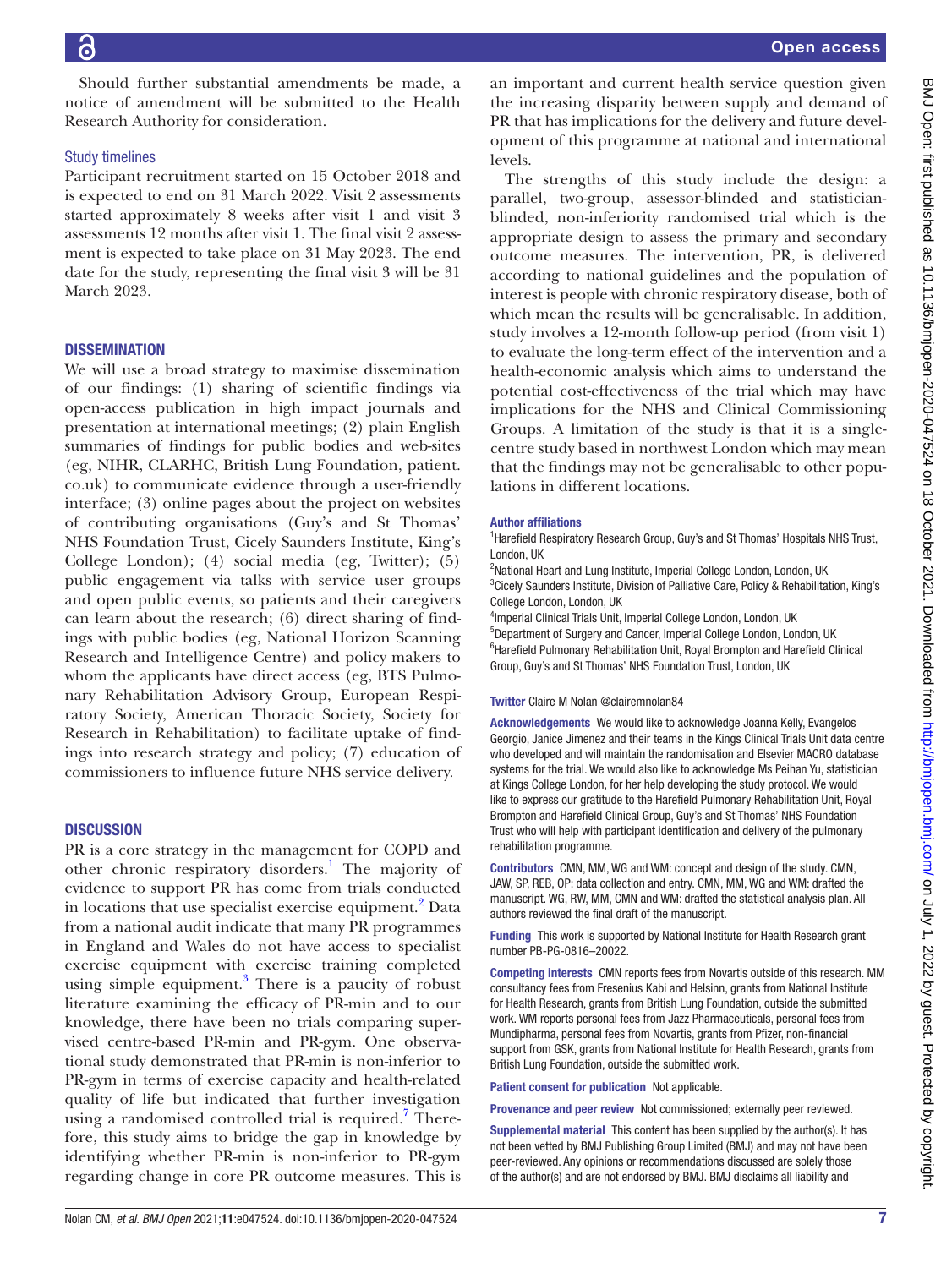Should further substantial amendments be made, a notice of amendment will be submitted to the Health Research Authority for consideration.

# Study timelines

Participant recruitment started on 15 October 2018 and is expected to end on 31 March 2022. Visit 2 assessments started approximately 8 weeks after visit 1 and visit 3 assessments 12 months after visit 1. The final visit 2 assessment is expected to take place on 31 May 2023. The end date for the study, representing the final visit 3 will be 31 March 2023.

# **DISSEMINATION**

We will use a broad strategy to maximise dissemination of our findings: (1) sharing of scientific findings via open-access publication in high impact journals and presentation at international meetings; (2) plain English summaries of findings for public bodies and web-sites (eg, NIHR, CLARHC, British Lung Foundation, patient. co.uk) to communicate evidence through a user-friendly interface; (3) online pages about the project on websites of contributing organisations (Guy's and St Thomas' NHS Foundation Trust, Cicely Saunders Institute, King's College London); (4) social media (eg, Twitter); (5) public engagement via talks with service user groups and open public events, so patients and their caregivers can learn about the research; (6) direct sharing of findings with public bodies (eg, National Horizon Scanning Research and Intelligence Centre) and policy makers to whom the applicants have direct access (eg, BTS Pulmonary Rehabilitation Advisory Group, European Respiratory Society, American Thoracic Society, Society for Research in Rehabilitation) to facilitate uptake of findings into research strategy and policy; (7) education of commissioners to influence future NHS service delivery.

# **DISCUSSION**

PR is a core strategy in the management for COPD and other chronic respiratory disorders.<sup>1</sup> The majority of evidence to support PR has come from trials conducted in locations that use specialist exercise equipment.<sup>[2](#page-7-1)</sup> Data from a national audit indicate that many PR programmes in England and Wales do not have access to specialist exercise equipment with exercise training completed using simple equipment.<sup>[3](#page-7-2)</sup> There is a paucity of robust literature examining the efficacy of PR-min and to our knowledge, there have been no trials comparing supervised centre-based PR-min and PR-gym. One observational study demonstrated that PR-min is non-inferior to PR-gym in terms of exercise capacity and health-related quality of life but indicated that further investigation using a randomised controlled trial is required.<sup>7</sup> Therefore, this study aims to bridge the gap in knowledge by identifying whether PR-min is non-inferior to PR-gym regarding change in core PR outcome measures. This is

an important and current health service question given the increasing disparity between supply and demand of PR that has implications for the delivery and future development of this programme at national and international levels.

The strengths of this study include the design: a parallel, two-group, assessor-blinded and statisticianblinded, non-inferiority randomised trial which is the appropriate design to assess the primary and secondary outcome measures. The intervention, PR, is delivered according to national guidelines and the population of interest is people with chronic respiratory disease, both of which mean the results will be generalisable. In addition, study involves a 12-month follow-up period (from visit 1) to evaluate the long-term effect of the intervention and a health-economic analysis which aims to understand the potential cost-effectiveness of the trial which may have implications for the NHS and Clinical Commissioning Groups. A limitation of the study is that it is a singlecentre study based in northwest London which may mean that the findings may not be generalisable to other populations in different locations.

#### Author affiliations

<sup>1</sup> Harefield Respiratory Research Group, Guy's and St Thomas' Hospitals NHS Trust, London, UK

<sup>2</sup>National Heart and Lung Institute, Imperial College London, London, UK <sup>3</sup>Cicely Saunders Institute, Division of Palliative Care, Policy & Rehabilitation, King's College London, London, UK

<sup>4</sup>Imperial Clinical Trials Unit, Imperial College London, London, UK 5 Department of Surgery and Cancer, Imperial College London, London, UK <sup>6</sup> Harefield Pulmonary Rehabilitation Unit, Royal Brompton and Harefield Clinical Group, Guy's and St Thomas' NHS Foundation Trust, London, UK

# Twitter Claire M Nolan [@clairemnolan84](https://twitter.com/clairemnolan84)

Acknowledgements We would like to acknowledge Joanna Kelly, Evangelos Georgio, Janice Jimenez and their teams in the Kings Clinical Trials Unit data centre who developed and will maintain the randomisation and Elsevier MACRO database systems for the trial. We would also like to acknowledge Ms Peihan Yu, statistician at Kings College London, for her help developing the study protocol. We would like to express our gratitude to the Harefield Pulmonary Rehabilitation Unit, Royal Brompton and Harefield Clinical Group, Guy's and St Thomas' NHS Foundation Trust who will help with participant identification and delivery of the pulmonary rehabilitation programme.

Contributors CMN, MM, WG and WM: concept and design of the study. CMN, JAW, SP, REB, OP: data collection and entry. CMN, MM, WG and WM: drafted the manuscript. WG, RW, MM, CMN and WM: drafted the statistical analysis plan. All authors reviewed the final draft of the manuscript.

Funding This work is supported by National Institute for Health Research grant number PB-PG-0816–20022.

Competing interests CMN reports fees from Novartis outside of this research. MM consultancy fees from Fresenius Kabi and Helsinn, grants from National Institute for Health Research, grants from British Lung Foundation, outside the submitted work. WM reports personal fees from Jazz Pharmaceuticals, personal fees from Mundipharma, personal fees from Novartis, grants from Pfizer, non-financial support from GSK, grants from National Institute for Health Research, grants from British Lung Foundation, outside the submitted work.

Patient consent for publication Not applicable.

Provenance and peer review Not commissioned; externally peer reviewed.

Supplemental material This content has been supplied by the author(s). It has not been vetted by BMJ Publishing Group Limited (BMJ) and may not have been peer-reviewed. Any opinions or recommendations discussed are solely those of the author(s) and are not endorsed by BMJ. BMJ disclaims all liability and